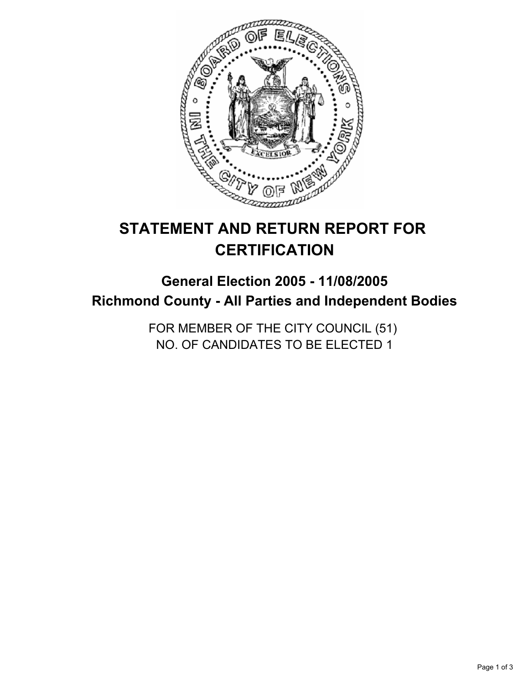

# **STATEMENT AND RETURN REPORT FOR CERTIFICATION**

# **General Election 2005 - 11/08/2005 Richmond County - All Parties and Independent Bodies**

FOR MEMBER OF THE CITY COUNCIL (51) NO. OF CANDIDATES TO BE ELECTED 1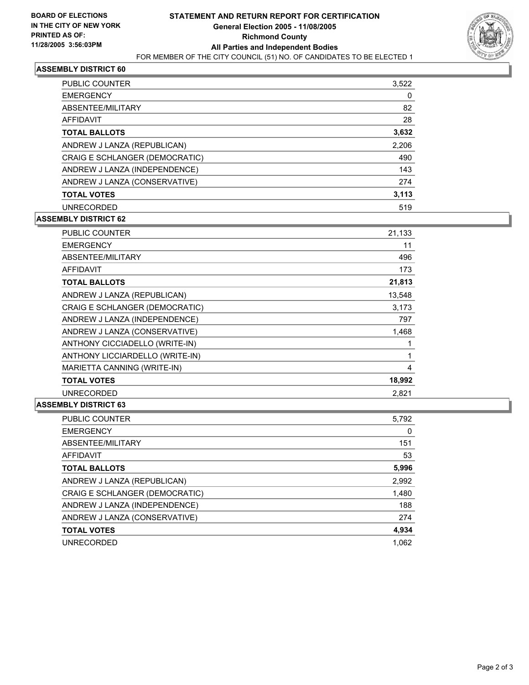

## **ASSEMBLY DISTRICT 60**

| PUBLIC COUNTER                 | 3,522 |
|--------------------------------|-------|
| <b>EMERGENCY</b>               | 0     |
| ABSENTEE/MILITARY              | 82    |
| <b>AFFIDAVIT</b>               | 28    |
| <b>TOTAL BALLOTS</b>           | 3,632 |
| ANDREW J LANZA (REPUBLICAN)    | 2,206 |
| CRAIG E SCHLANGER (DEMOCRATIC) | 490   |
| ANDREW J LANZA (INDEPENDENCE)  | 143   |
| ANDREW J LANZA (CONSERVATIVE)  | 274   |
| <b>TOTAL VOTES</b>             | 3,113 |
| <b>UNRECORDED</b>              | 519   |

### **ASSEMBLY DISTRICT 62**

| PUBLIC COUNTER                  | 21,133 |
|---------------------------------|--------|
| <b>EMERGENCY</b>                | 11     |
| ABSENTEE/MILITARY               | 496    |
| AFFIDAVIT                       | 173    |
| <b>TOTAL BALLOTS</b>            | 21,813 |
| ANDREW J LANZA (REPUBLICAN)     | 13,548 |
| CRAIG E SCHLANGER (DEMOCRATIC)  | 3,173  |
| ANDREW J LANZA (INDEPENDENCE)   | 797    |
| ANDREW J LANZA (CONSERVATIVE)   | 1,468  |
| ANTHONY CICCIADELLO (WRITE-IN)  |        |
| ANTHONY LICCIARDELLO (WRITE-IN) |        |
| MARIETTA CANNING (WRITE-IN)     | 4      |
| <b>TOTAL VOTES</b>              | 18,992 |
| <b>UNRECORDED</b>               | 2.821  |

## **ASSEMBLY DISTRICT 63**

| PUBLIC COUNTER                 | 5,792 |
|--------------------------------|-------|
| <b>EMERGENCY</b>               | 0     |
| ABSENTEE/MILITARY              | 151   |
| AFFIDAVIT                      | 53    |
| <b>TOTAL BALLOTS</b>           | 5,996 |
| ANDREW J LANZA (REPUBLICAN)    | 2,992 |
| CRAIG E SCHLANGER (DEMOCRATIC) | 1,480 |
| ANDREW J LANZA (INDEPENDENCE)  | 188   |
| ANDREW J LANZA (CONSERVATIVE)  | 274   |
| <b>TOTAL VOTES</b>             | 4,934 |
| <b>UNRECORDED</b>              | 1.062 |
|                                |       |